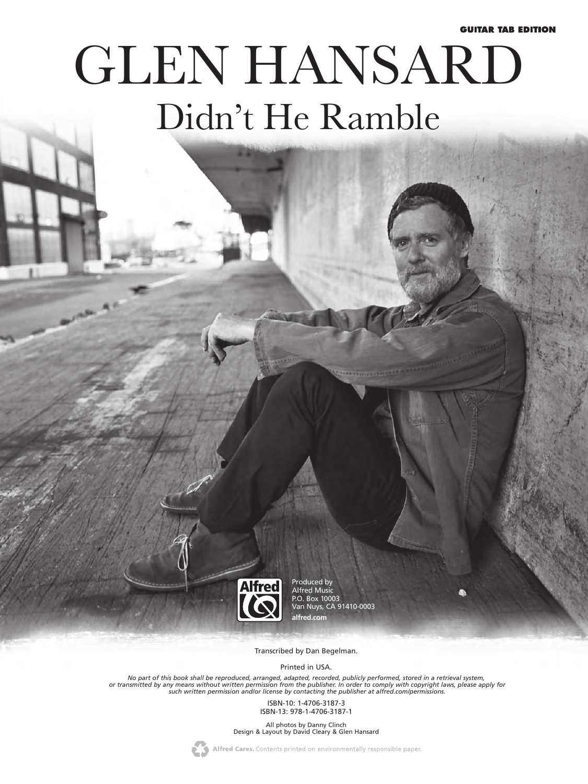#### **GUITAR TAB EDITION**

# GLEN HANSARD Didn't He Ramble



Produced by Alfred Music P.O. Box 10003 Van Nuys, CA 91410-0003 **alfred.com**

Transcribed by Dan Begelman.

Printed in USA.

No part of this book shall be reproduced, arranged, adapted, recorded, publicly performed, stored in a retrieval system,<br>or transmitted by any means without written permission from the publisher. In order to comply with co

ISBN-10: 1-4706-3187-3 ISBN-13: 978-1-4706-3187-1

All photos by Danny Clinch Design & Layout by David Cleary & Glen Hansard



Alfred Cares. Contents printed on environmentally responsible paper.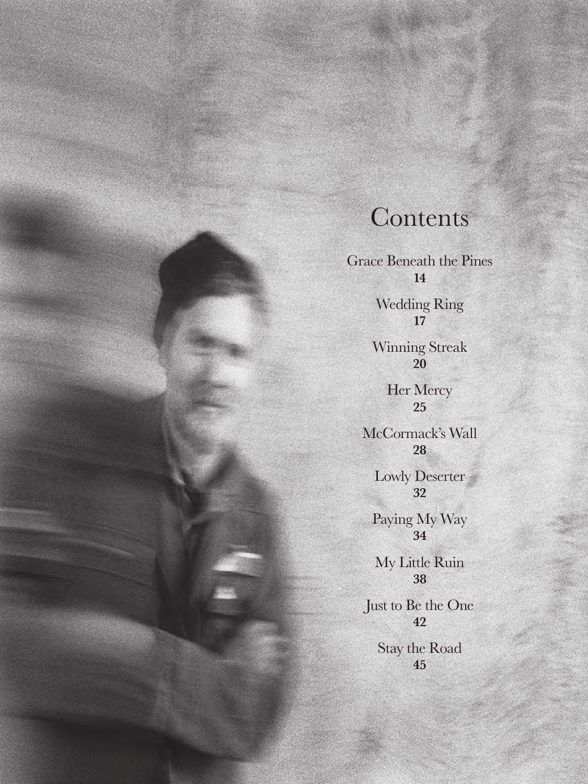# **Contents**

Grace Beneath the Pines **14** Wedding Ring **17** Winning Streak **20** Her Mercy **25** McCormack's Wall **28** Lowly Deserter **32** Paying My Way **34** My Little Ruin **38** Just to Be the One **42** Stay the Road **45**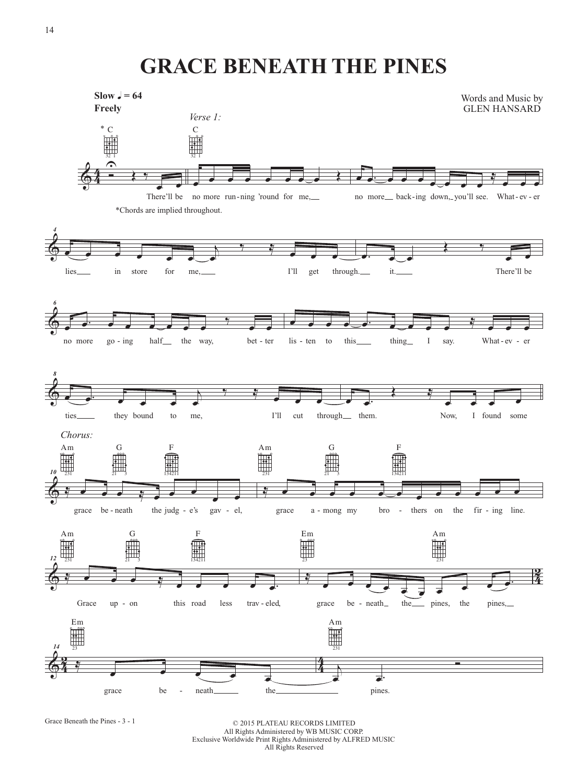## **GRACE BENEATH THE PINES**



Grace Beneath the Pines - 3 - 1

© 2015 PLATEAU RECORDS LIMITED All Rights Administered by WB MUSIC CORP. Exclusive Worldwide Print Rights Administered by ALFRED MUSIC All Rights Reserved